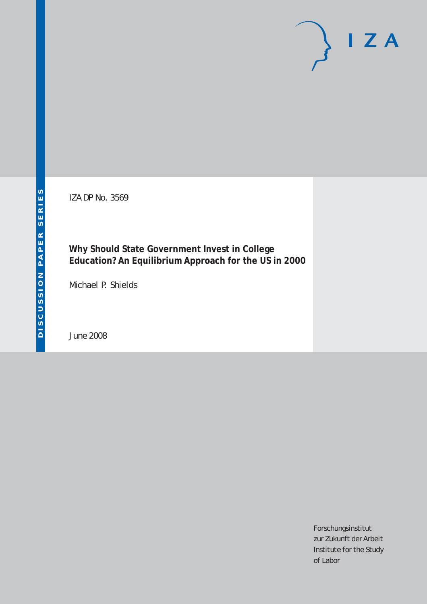IZA DP No. 3569

# **Why Should State Government Invest in College Education? An Equilibrium Approach for the US in 2000**

Michael P. Shields

June 2008

Forschungsinstitut zur Zukunft der Arbeit Institute for the Study of Labor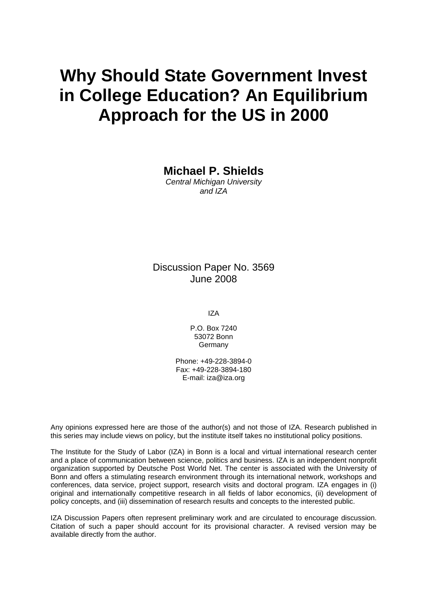# **Why Should State Government Invest in College Education? An Equilibrium Approach for the US in 2000**

**Michael P. Shields** 

*Central Michigan University and IZA* 

Discussion Paper No. 3569 June 2008

IZA

P.O. Box 7240 53072 Bonn **Germany** 

Phone: +49-228-3894-0 Fax: +49-228-3894-180 E-mail: [iza@iza.org](mailto:iza@iza.org)

Any opinions expressed here are those of the author(s) and not those of IZA. Research published in this series may include views on policy, but the institute itself takes no institutional policy positions.

The Institute for the Study of Labor (IZA) in Bonn is a local and virtual international research center and a place of communication between science, politics and business. IZA is an independent nonprofit organization supported by Deutsche Post World Net. The center is associated with the University of Bonn and offers a stimulating research environment through its international network, workshops and conferences, data service, project support, research visits and doctoral program. IZA engages in (i) original and internationally competitive research in all fields of labor economics, (ii) development of policy concepts, and (iii) dissemination of research results and concepts to the interested public.

IZA Discussion Papers often represent preliminary work and are circulated to encourage discussion. Citation of such a paper should account for its provisional character. A revised version may be available directly from the author.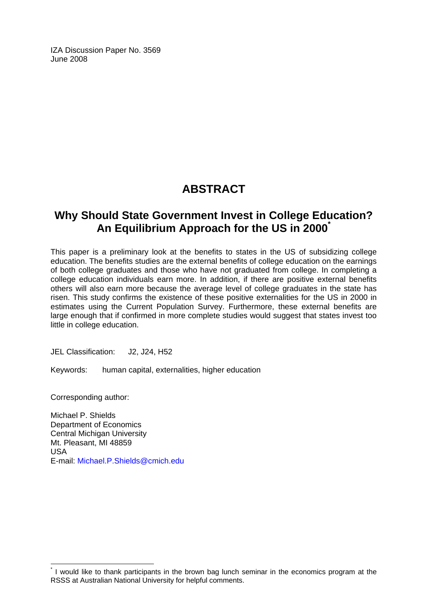IZA Discussion Paper No. 3569 June 2008

# **ABSTRACT**

### **Why Should State Government Invest in College Education? An Equilibrium Approach for the US in 2000[\\*](#page-2-0)**

This paper is a preliminary look at the benefits to states in the US of subsidizing college education. The benefits studies are the external benefits of college education on the earnings of both college graduates and those who have not graduated from college. In completing a college education individuals earn more. In addition, if there are positive external benefits others will also earn more because the average level of college graduates in the state has risen. This study confirms the existence of these positive externalities for the US in 2000 in estimates using the Current Population Survey. Furthermore, these external benefits are large enough that if confirmed in more complete studies would suggest that states invest too little in college education.

JEL Classification: J2, J24, H52

Keywords: human capital, externalities, higher education

Corresponding author:

 $\overline{a}$ 

Michael P. Shields Department of Economics Central Michigan University Mt. Pleasant, MI 48859 USA E-mail: [Michael.P.Shields@cmich.edu](mailto:Michael.P.Shields@cmich.edu)

<span id="page-2-0"></span><sup>\*</sup> I would like to thank participants in the brown bag lunch seminar in the economics program at the RSSS at Australian National University for helpful comments.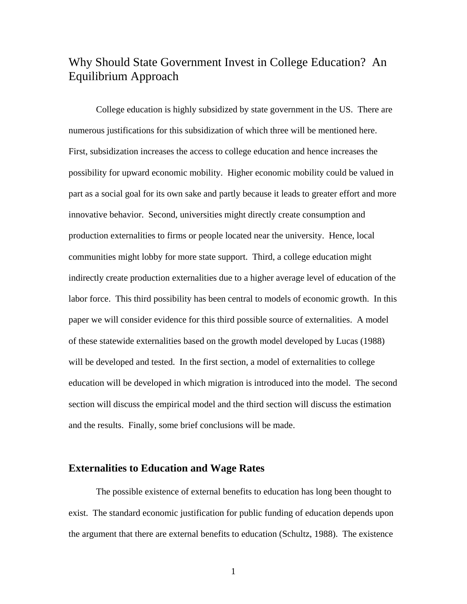# Why Should State Government Invest in College Education? An Equilibrium Approach

College education is highly subsidized by state government in the US. There are numerous justifications for this subsidization of which three will be mentioned here. First, subsidization increases the access to college education and hence increases the possibility for upward economic mobility. Higher economic mobility could be valued in part as a social goal for its own sake and partly because it leads to greater effort and more innovative behavior. Second, universities might directly create consumption and production externalities to firms or people located near the university. Hence, local communities might lobby for more state support. Third, a college education might indirectly create production externalities due to a higher average level of education of the labor force. This third possibility has been central to models of economic growth. In this paper we will consider evidence for this third possible source of externalities. A model of these statewide externalities based on the growth model developed by Lucas (1988) will be developed and tested. In the first section, a model of externalities to college education will be developed in which migration is introduced into the model. The second section will discuss the empirical model and the third section will discuss the estimation and the results. Finally, some brief conclusions will be made.

#### **Externalities to Education and Wage Rates**

The possible existence of external benefits to education has long been thought to exist. The standard economic justification for public funding of education depends upon the argument that there are external benefits to education (Schultz, 1988). The existence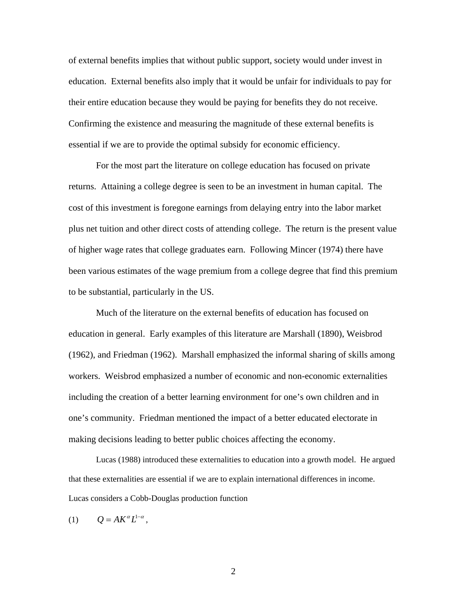of external benefits implies that without public support, society would under invest in education. External benefits also imply that it would be unfair for individuals to pay for their entire education because they would be paying for benefits they do not receive. Confirming the existence and measuring the magnitude of these external benefits is essential if we are to provide the optimal subsidy for economic efficiency.

For the most part the literature on college education has focused on private returns. Attaining a college degree is seen to be an investment in human capital. The cost of this investment is foregone earnings from delaying entry into the labor market plus net tuition and other direct costs of attending college. The return is the present value of higher wage rates that college graduates earn. Following Mincer (1974) there have been various estimates of the wage premium from a college degree that find this premium to be substantial, particularly in the US.

Much of the literature on the external benefits of education has focused on education in general. Early examples of this literature are Marshall (1890), Weisbrod (1962), and Friedman (1962). Marshall emphasized the informal sharing of skills among workers. Weisbrod emphasized a number of economic and non-economic externalities including the creation of a better learning environment for one's own children and in one's community. Friedman mentioned the impact of a better educated electorate in making decisions leading to better public choices affecting the economy.

Lucas (1988) introduced these externalities to education into a growth model. He argued that these externalities are essential if we are to explain international differences in income. Lucas considers a Cobb-Douglas production function

(1)  $Q = AK^{\alpha}L^{1-\alpha}$ ,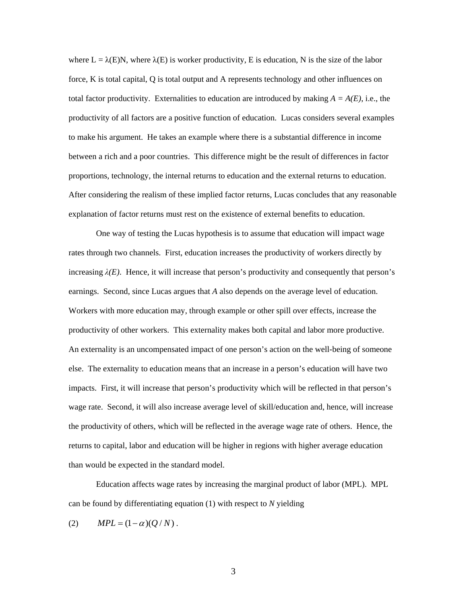where  $L = \lambda(E)N$ , where  $\lambda(E)$  is worker productivity, E is education, N is the size of the labor force, K is total capital, Q is total output and A represents technology and other influences on total factor productivity. Externalities to education are introduced by making  $A = A(E)$ , i.e., the productivity of all factors are a positive function of education. Lucas considers several examples to make his argument. He takes an example where there is a substantial difference in income between a rich and a poor countries. This difference might be the result of differences in factor proportions, technology, the internal returns to education and the external returns to education. After considering the realism of these implied factor returns, Lucas concludes that any reasonable explanation of factor returns must rest on the existence of external benefits to education.

One way of testing the Lucas hypothesis is to assume that education will impact wage rates through two channels. First, education increases the productivity of workers directly by increasing  $\lambda(E)$ . Hence, it will increase that person's productivity and consequently that person's earnings. Second, since Lucas argues that *A* also depends on the average level of education. Workers with more education may, through example or other spill over effects, increase the productivity of other workers. This externality makes both capital and labor more productive. An externality is an uncompensated impact of one person's action on the well-being of someone else. The externality to education means that an increase in a person's education will have two impacts. First, it will increase that person's productivity which will be reflected in that person's wage rate. Second, it will also increase average level of skill/education and, hence, will increase the productivity of others, which will be reflected in the average wage rate of others. Hence, the returns to capital, labor and education will be higher in regions with higher average education than would be expected in the standard model.

Education affects wage rates by increasing the marginal product of labor (MPL). MPL can be found by differentiating equation (1) with respect to *N* yielding

(2)  $MPL = (1 - \alpha)(Q/N)$ .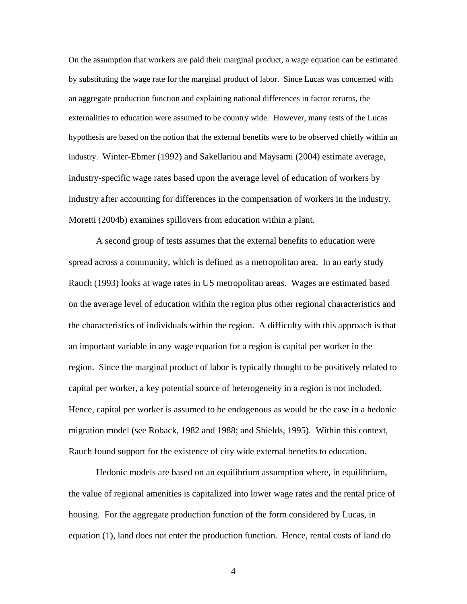On the assumption that workers are paid their marginal product, a wage equation can be estimated by substituting the wage rate for the marginal product of labor. Since Lucas was concerned with an aggregate production function and explaining national differences in factor returns, the externalities to education were assumed to be country wide. However, many tests of the Lucas hypothesis are based on the notion that the external benefits were to be observed chiefly within an industry. Winter-Ebmer (1992) and Sakellariou and Maysami (2004) estimate average, industry-specific wage rates based upon the average level of education of workers by industry after accounting for differences in the compensation of workers in the industry. Moretti (2004b) examines spillovers from education within a plant.

A second group of tests assumes that the external benefits to education were spread across a community, which is defined as a metropolitan area. In an early study Rauch (1993) looks at wage rates in US metropolitan areas. Wages are estimated based on the average level of education within the region plus other regional characteristics and the characteristics of individuals within the region. A difficulty with this approach is that an important variable in any wage equation for a region is capital per worker in the region. Since the marginal product of labor is typically thought to be positively related to capital per worker, a key potential source of heterogeneity in a region is not included. Hence, capital per worker is assumed to be endogenous as would be the case in a hedonic migration model (see Roback, 1982 and 1988; and Shields, 1995). Within this context, Rauch found support for the existence of city wide external benefits to education.

Hedonic models are based on an equilibrium assumption where, in equilibrium, the value of regional amenities is capitalized into lower wage rates and the rental price of housing. For the aggregate production function of the form considered by Lucas, in equation (1), land does not enter the production function. Hence, rental costs of land do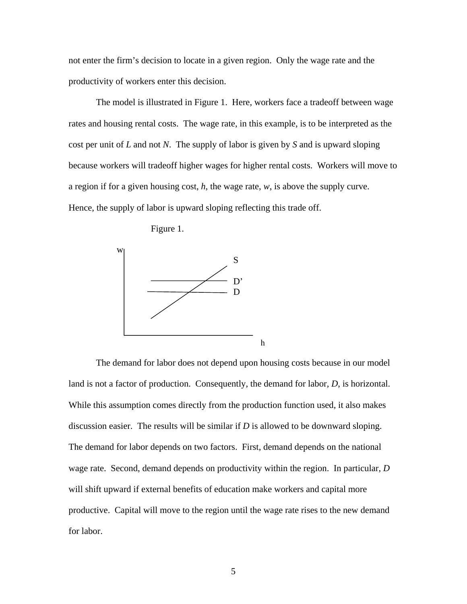not enter the firm's decision to locate in a given region. Only the wage rate and the productivity of workers enter this decision.

The model is illustrated in Figure 1. Here, workers face a tradeoff between wage rates and housing rental costs. The wage rate, in this example, is to be interpreted as the cost per unit of *L* and not *N*. The supply of labor is given by *S* and is upward sloping because workers will tradeoff higher wages for higher rental costs. Workers will move to a region if for a given housing cost, *h*, the wage rate, *w*, is above the supply curve. Hence, the supply of labor is upward sloping reflecting this trade off.

Figure 1.



The demand for labor does not depend upon housing costs because in our model land is not a factor of production. Consequently, the demand for labor, *D*, is horizontal. While this assumption comes directly from the production function used, it also makes discussion easier. The results will be similar if *D* is allowed to be downward sloping. The demand for labor depends on two factors. First, demand depends on the national wage rate. Second, demand depends on productivity within the region. In particular, *D* will shift upward if external benefits of education make workers and capital more productive. Capital will move to the region until the wage rate rises to the new demand for labor.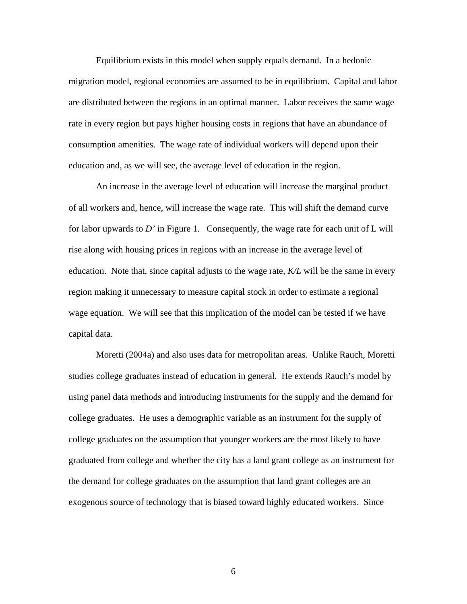Equilibrium exists in this model when supply equals demand. In a hedonic migration model, regional economies are assumed to be in equilibrium. Capital and labor are distributed between the regions in an optimal manner. Labor receives the same wage rate in every region but pays higher housing costs in regions that have an abundance of consumption amenities. The wage rate of individual workers will depend upon their education and, as we will see, the average level of education in the region.

An increase in the average level of education will increase the marginal product of all workers and, hence, will increase the wage rate. This will shift the demand curve for labor upwards to *D'* in Figure 1. Consequently, the wage rate for each unit of L will rise along with housing prices in regions with an increase in the average level of education. Note that, since capital adjusts to the wage rate, *K/L* will be the same in every region making it unnecessary to measure capital stock in order to estimate a regional wage equation. We will see that this implication of the model can be tested if we have capital data.

Moretti (2004a) and also uses data for metropolitan areas. Unlike Rauch, Moretti studies college graduates instead of education in general. He extends Rauch's model by using panel data methods and introducing instruments for the supply and the demand for college graduates. He uses a demographic variable as an instrument for the supply of college graduates on the assumption that younger workers are the most likely to have graduated from college and whether the city has a land grant college as an instrument for the demand for college graduates on the assumption that land grant colleges are an exogenous source of technology that is biased toward highly educated workers. Since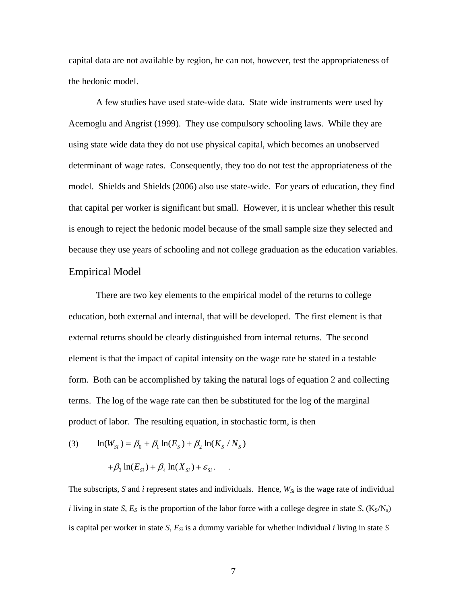capital data are not available by region, he can not, however, test the appropriateness of the hedonic model.

A few studies have used state-wide data. State wide instruments were used by Acemoglu and Angrist (1999). They use compulsory schooling laws. While they are using state wide data they do not use physical capital, which becomes an unobserved determinant of wage rates. Consequently, they too do not test the appropriateness of the model. Shields and Shields (2006) also use state-wide. For years of education, they find that capital per worker is significant but small. However, it is unclear whether this result is enough to reject the hedonic model because of the small sample size they selected and because they use years of schooling and not college graduation as the education variables. Empirical Model

There are two key elements to the empirical model of the returns to college education, both external and internal, that will be developed. The first element is that external returns should be clearly distinguished from internal returns. The second element is that the impact of capital intensity on the wage rate be stated in a testable form. Both can be accomplished by taking the natural logs of equation 2 and collecting terms. The log of the wage rate can then be substituted for the log of the marginal product of labor. The resulting equation, in stochastic form, is then

(3) 
$$
\ln(W_{SI}) = \beta_0 + \beta_1 \ln(E_S) + \beta_2 \ln(K_S/N_S)
$$

$$
+\beta_3\ln(E_{Si})+\beta_4\ln(X_{Si})+\varepsilon_{Si}.
$$

The subscripts, *S* and  $\hat{i}$  represent states and individuals. Hence,  $W_{Si}$  is the wage rate of individual *i* living in state *S*,  $E_S$  is the proportion of the labor force with a college degree in state *S*,  $(K_S/N_S)$ is capital per worker in state *S*, *ESi* is a dummy variable for whether individual *i* living in state *S*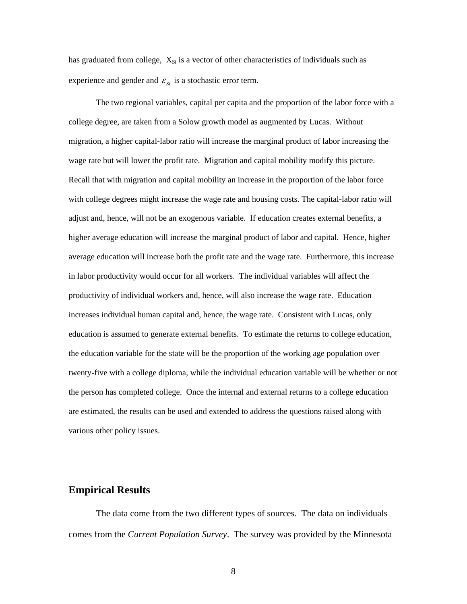has graduated from college,  $X_{Si}$  is a vector of other characteristics of individuals such as experience and gender and  $\varepsilon_{si}$  is a stochastic error term.

The two regional variables, capital per capita and the proportion of the labor force with a college degree, are taken from a Solow growth model as augmented by Lucas. Without migration, a higher capital-labor ratio will increase the marginal product of labor increasing the wage rate but will lower the profit rate. Migration and capital mobility modify this picture. Recall that with migration and capital mobility an increase in the proportion of the labor force with college degrees might increase the wage rate and housing costs. The capital-labor ratio will adjust and, hence, will not be an exogenous variable. If education creates external benefits, a higher average education will increase the marginal product of labor and capital. Hence, higher average education will increase both the profit rate and the wage rate. Furthermore, this increase in labor productivity would occur for all workers. The individual variables will affect the productivity of individual workers and, hence, will also increase the wage rate. Education increases individual human capital and, hence, the wage rate. Consistent with Lucas, only education is assumed to generate external benefits. To estimate the returns to college education, the education variable for the state will be the proportion of the working age population over twenty-five with a college diploma, while the individual education variable will be whether or not the person has completed college. Once the internal and external returns to a college education are estimated, the results can be used and extended to address the questions raised along with various other policy issues.

#### **Empirical Results**

The data come from the two different types of sources. The data on individuals comes from the *Current Population Survey*. The survey was provided by the Minnesota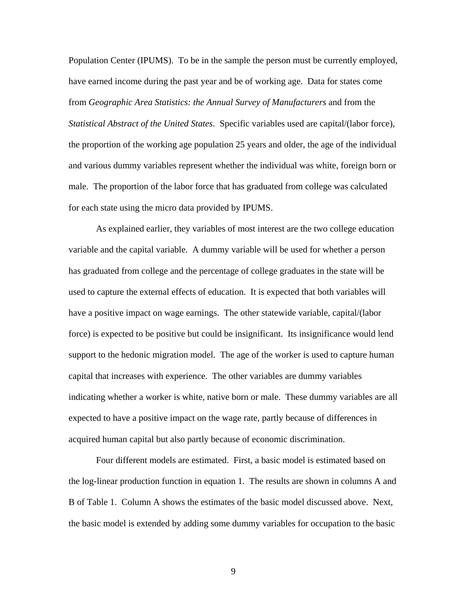Population Center (IPUMS). To be in the sample the person must be currently employed, have earned income during the past year and be of working age. Data for states come from *Geographic Area Statistics: the Annual Survey of Manufacturers* and from the *Statistical Abstract of the United States*. Specific variables used are capital/(labor force), the proportion of the working age population 25 years and older, the age of the individual and various dummy variables represent whether the individual was white, foreign born or male. The proportion of the labor force that has graduated from college was calculated for each state using the micro data provided by IPUMS.

As explained earlier, they variables of most interest are the two college education variable and the capital variable. A dummy variable will be used for whether a person has graduated from college and the percentage of college graduates in the state will be used to capture the external effects of education. It is expected that both variables will have a positive impact on wage earnings. The other statewide variable, capital/(labor force) is expected to be positive but could be insignificant. Its insignificance would lend support to the hedonic migration model. The age of the worker is used to capture human capital that increases with experience. The other variables are dummy variables indicating whether a worker is white, native born or male. These dummy variables are all expected to have a positive impact on the wage rate, partly because of differences in acquired human capital but also partly because of economic discrimination.

Four different models are estimated. First, a basic model is estimated based on the log-linear production function in equation 1. The results are shown in columns A and B of Table 1. Column A shows the estimates of the basic model discussed above. Next, the basic model is extended by adding some dummy variables for occupation to the basic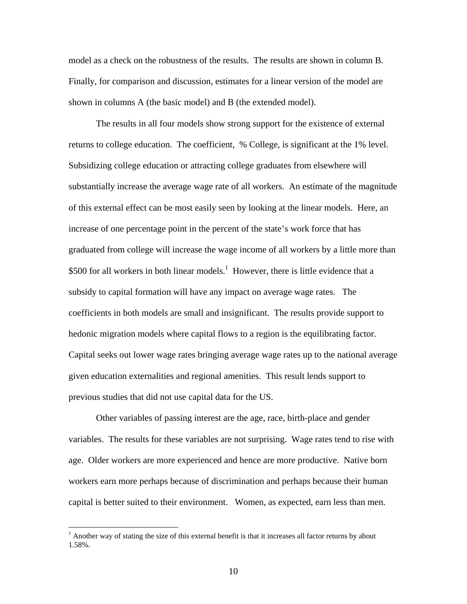model as a check on the robustness of the results. The results are shown in column B. Finally, for comparison and discussion, estimates for a linear version of the model are shown in columns A (the basic model) and B (the extended model).

The results in all four models show strong support for the existence of external returns to college education. The coefficient, % College, is significant at the 1% level. Subsidizing college education or attracting college graduates from elsewhere will substantially increase the average wage rate of all workers. An estimate of the magnitude of this external effect can be most easily seen by looking at the linear models. Here, an increase of one percentage point in the percent of the state's work force that has graduated from college will increase the wage income of all workers by a little more than \$500 for all workers in both linear models.<sup>[1](#page-12-0)</sup> However, there is little evidence that a subsidy to capital formation will have any impact on average wage rates. The coefficients in both models are small and insignificant. The results provide support to hedonic migration models where capital flows to a region is the equilibrating factor. Capital seeks out lower wage rates bringing average wage rates up to the national average given education externalities and regional amenities. This result lends support to previous studies that did not use capital data for the US.

Other variables of passing interest are the age, race, birth-place and gender variables. The results for these variables are not surprising. Wage rates tend to rise with age. Older workers are more experienced and hence are more productive. Native born workers earn more perhaps because of discrimination and perhaps because their human capital is better suited to their environment. Women, as expected, earn less than men.

<span id="page-12-0"></span><sup>&</sup>lt;sup>1</sup> Another way of stating the size of this external benefit is that it increases all factor returns by about 1.58%.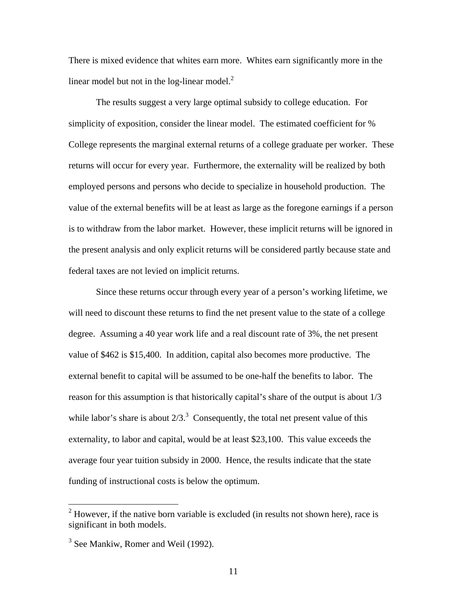There is mixed evidence that whites earn more. Whites earn significantly more in the linear model but not in the log-linear model. $2$ 

The results suggest a very large optimal subsidy to college education. For simplicity of exposition, consider the linear model. The estimated coefficient for % College represents the marginal external returns of a college graduate per worker. These returns will occur for every year. Furthermore, the externality will be realized by both employed persons and persons who decide to specialize in household production. The value of the external benefits will be at least as large as the foregone earnings if a person is to withdraw from the labor market. However, these implicit returns will be ignored in the present analysis and only explicit returns will be considered partly because state and federal taxes are not levied on implicit returns.

Since these returns occur through every year of a person's working lifetime, we will need to discount these returns to find the net present value to the state of a college degree. Assuming a 40 year work life and a real discount rate of 3%, the net present value of \$462 is \$15,400. In addition, capital also becomes more productive. The external benefit to capital will be assumed to be one-half the benefits to labor. The reason for this assumption is that historically capital's share of the output is about 1/3 while labor's share is about  $2/3$ <sup>3</sup> Consequently, the total net present value of this externality, to labor and capital, would be at least \$23,100. This value exceeds the average four year tuition subsidy in 2000. Hence, the results indicate that the state funding of instructional costs is below the optimum.

<span id="page-13-0"></span> $2$  However, if the native born variable is excluded (in results not shown here), race is significant in both models.

<span id="page-13-1"></span><sup>&</sup>lt;sup>3</sup> See Mankiw, Romer and Weil (1992).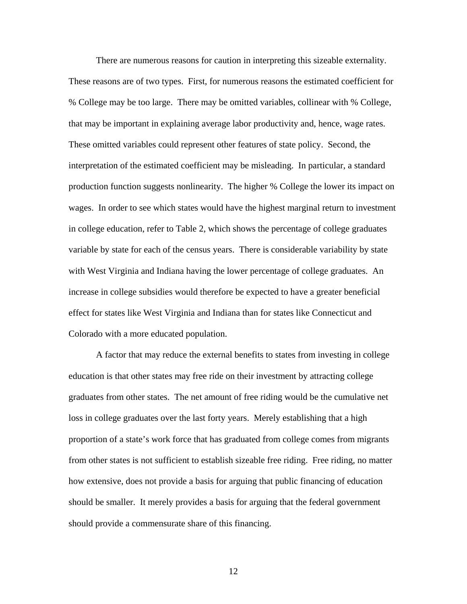There are numerous reasons for caution in interpreting this sizeable externality. These reasons are of two types. First, for numerous reasons the estimated coefficient for % College may be too large. There may be omitted variables, collinear with % College, that may be important in explaining average labor productivity and, hence, wage rates. These omitted variables could represent other features of state policy. Second, the interpretation of the estimated coefficient may be misleading. In particular, a standard production function suggests nonlinearity. The higher % College the lower its impact on wages. In order to see which states would have the highest marginal return to investment in college education, refer to Table 2, which shows the percentage of college graduates variable by state for each of the census years. There is considerable variability by state with West Virginia and Indiana having the lower percentage of college graduates. An increase in college subsidies would therefore be expected to have a greater beneficial effect for states like West Virginia and Indiana than for states like Connecticut and Colorado with a more educated population.

A factor that may reduce the external benefits to states from investing in college education is that other states may free ride on their investment by attracting college graduates from other states. The net amount of free riding would be the cumulative net loss in college graduates over the last forty years. Merely establishing that a high proportion of a state's work force that has graduated from college comes from migrants from other states is not sufficient to establish sizeable free riding. Free riding, no matter how extensive, does not provide a basis for arguing that public financing of education should be smaller. It merely provides a basis for arguing that the federal government should provide a commensurate share of this financing.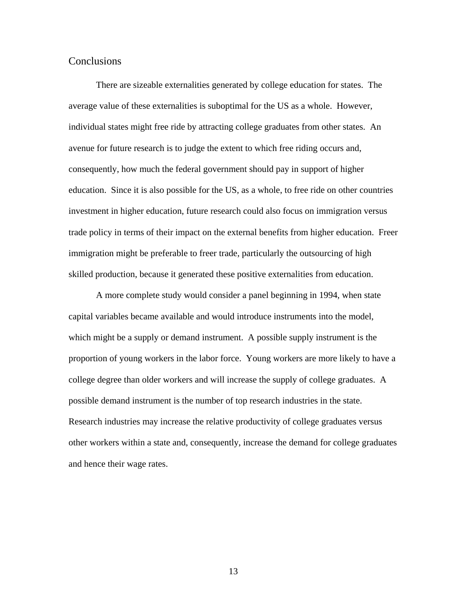#### **Conclusions**

There are sizeable externalities generated by college education for states. The average value of these externalities is suboptimal for the US as a whole. However, individual states might free ride by attracting college graduates from other states. An avenue for future research is to judge the extent to which free riding occurs and, consequently, how much the federal government should pay in support of higher education. Since it is also possible for the US, as a whole, to free ride on other countries investment in higher education, future research could also focus on immigration versus trade policy in terms of their impact on the external benefits from higher education. Freer immigration might be preferable to freer trade, particularly the outsourcing of high skilled production, because it generated these positive externalities from education.

A more complete study would consider a panel beginning in 1994, when state capital variables became available and would introduce instruments into the model, which might be a supply or demand instrument. A possible supply instrument is the proportion of young workers in the labor force. Young workers are more likely to have a college degree than older workers and will increase the supply of college graduates. A possible demand instrument is the number of top research industries in the state. Research industries may increase the relative productivity of college graduates versus other workers within a state and, consequently, increase the demand for college graduates and hence their wage rates.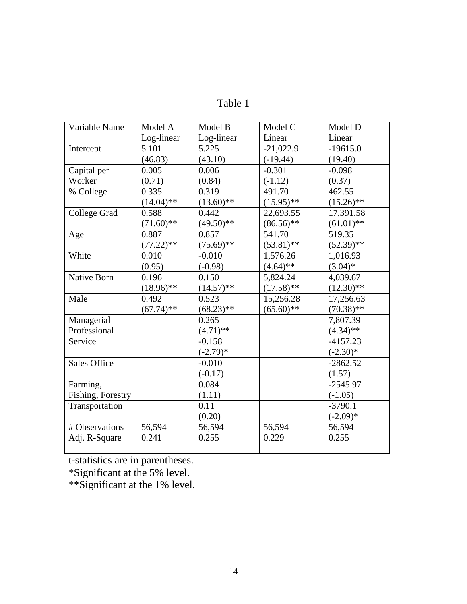| Variable Name       | Model A      | Model B      | Model C      | Model D      |
|---------------------|--------------|--------------|--------------|--------------|
|                     | Log-linear   | Log-linear   | Linear       | Linear       |
| Intercept           | 5.101        | 5.225        | $-21,022.9$  | $-19615.0$   |
|                     | (46.83)      | (43.10)      | $(-19.44)$   | (19.40)      |
| Capital per         | 0.005        | 0.006        | $-0.301$     | $-0.098$     |
| Worker              | (0.71)       | (0.84)       | $(-1.12)$    | (0.37)       |
| % College           | 0.335        | 0.319        | 491.70       | 462.55       |
|                     | $(14.04)$ ** | $(13.60)$ ** | $(15.95)$ ** | $(15.26)$ ** |
| <b>College Grad</b> | 0.588        | 0.442        | 22,693.55    | 17,391.58    |
|                     | $(71.60)$ ** | $(49.50)**$  | $(86.56)$ ** | $(61.01)$ ** |
| Age                 | 0.887        | 0.857        | 541.70       | 519.35       |
|                     | $(77.22)$ ** | $(75.69)$ ** | $(53.81)$ ** | $(52.39)$ ** |
| White               | 0.010        | $-0.010$     | 1,576.26     | 1,016.93     |
|                     | (0.95)       | $(-0.98)$    | $(4.64)$ **  | $(3.04)*$    |
| <b>Native Born</b>  | 0.196        | 0.150        | 5,824.24     | 4,039.67     |
|                     | $(18.96)$ ** | $(14.57)$ ** | $(17.58)$ ** | $(12.30)$ ** |
| Male                | 0.492        | 0.523        | 15,256.28    | 17,256.63    |
|                     | $(67.74)$ ** | $(68.23)**$  | $(65.60)$ ** | $(70.38)$ ** |
| Managerial          |              | 0.265        |              | 7,807.39     |
| Professional        |              | $(4.71)$ **  |              | $(4.34)$ **  |
| Service             |              | $-0.158$     |              | $-4157.23$   |
|                     |              | $(-2.79)*$   |              | $(-2.30)*$   |
| <b>Sales Office</b> |              | $-0.010$     |              | $-2862.52$   |
|                     |              | $(-0.17)$    |              | (1.57)       |
| Farming,            |              | 0.084        |              | $-2545.97$   |
| Fishing, Forestry   |              | (1.11)       |              | $(-1.05)$    |
| Transportation      |              | 0.11         |              | $-3790.1$    |
|                     |              | (0.20)       |              | $(-2.09)*$   |
| # Observations      | 56,594       | 56,594       | 56,594       | 56,594       |
| Adj. R-Square       | 0.241        | 0.255        | 0.229        | 0.255        |
|                     |              |              |              |              |

Table 1

t-statistics are in parentheses.

\*Significant at the 5% level.

\*\*Significant at the 1% level.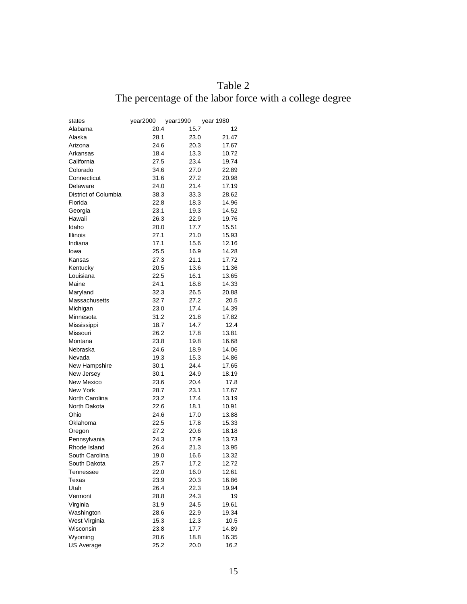# Table 2 The percentage of the labor force with a college degree

| states               | year2000 | year1990 | year 1980 |
|----------------------|----------|----------|-----------|
| Alabama              | 20.4     | 15.7     | 12        |
| Alaska               | 28.1     | 23.0     | 21.47     |
| Arizona              | 24.6     | 20.3     | 17.67     |
| Arkansas             | 18.4     | 13.3     | 10.72     |
| California           | 27.5     | 23.4     | 19.74     |
| Colorado             | 34.6     | 27.0     | 22.89     |
| Connecticut          | 31.6     | 27.2     | 20.98     |
| Delaware             | 24.0     | 21.4     | 17.19     |
| District of Columbia | 38.3     | 33.3     | 28.62     |
| Florida              | 22.8     | 18.3     | 14.96     |
| Georgia              | 23.1     | 19.3     | 14.52     |
| Hawaii               | 26.3     | 22.9     | 19.76     |
| Idaho                | 20.0     | 17.7     | 15.51     |
| Illinois             | 27.1     | 21.0     | 15.93     |
| Indiana              | 17.1     | 15.6     | 12.16     |
| lowa                 | 25.5     | 16.9     | 14.28     |
| Kansas               | 27.3     | 21.1     | 17.72     |
| Kentucky             | 20.5     | 13.6     | 11.36     |
| Louisiana            | 22.5     | 16.1     | 13.65     |
| Maine                | 24.1     | 18.8     | 14.33     |
| Maryland             | 32.3     | 26.5     | 20.88     |
| Massachusetts        | 32.7     | 27.2     | 20.5      |
| Michigan             | 23.0     | 17.4     | 14.39     |
| Minnesota            | 31.2     | 21.8     | 17.82     |
| Mississippi          | 18.7     | 14.7     | 12.4      |
| Missouri             | 26.2     | 17.8     | 13.81     |
| Montana              | 23.8     | 19.8     | 16.68     |
| Nebraska             | 24.6     | 18.9     | 14.06     |
| Nevada               | 19.3     | 15.3     | 14.86     |
| New Hampshire        | 30.1     | 24.4     | 17.65     |
| New Jersey           | 30.1     | 24.9     | 18.19     |
| New Mexico           | 23.6     | 20.4     | 17.8      |
| New York             | 28.7     | 23.1     | 17.67     |
| North Carolina       | 23.2     | 17.4     | 13.19     |
| North Dakota         | 22.6     | 18.1     | 10.91     |
| Ohio                 | 24.6     | 17.0     | 13.88     |
| Oklahoma             | 22.5     | 17.8     | 15.33     |
| Oregon               | 27.2     | 20.6     | 18.18     |
| Pennsylvania         | 24.3     | 17.9     | 13.73     |
| Rhode Island         | 26.4     | 21.3     | 13.95     |
| South Carolina       | 19.0     | 16.6     | 13.32     |
| South Dakota         | 25.7     | 17.2     | 12.72     |
| Tennessee            | 22.0     | 16.0     | 12.61     |
| Texas                | 23.9     | 20.3     | 16.86     |
| Utah                 | 26.4     | 22.3     | 19.94     |
| Vermont              | 28.8     | 24.3     | 19        |
| Virginia             | 31.9     | 24.5     | 19.61     |
| Washington           | 28.6     | 22.9     | 19.34     |
| West Virginia        | 15.3     | 12.3     | 10.5      |
| Wisconsin            | 23.8     | 17.7     | 14.89     |
| Wyoming              | 20.6     | 18.8     | 16.35     |
| US Average           | 25.2     | 20.0     | 16.2      |
|                      |          |          |           |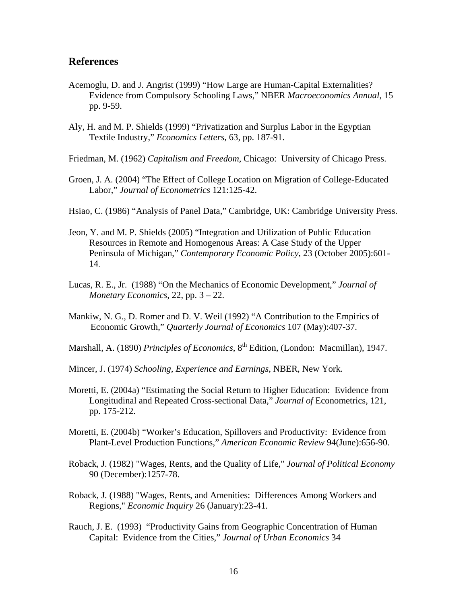#### **References**

- Acemoglu, D. and J. Angrist (1999) "How Large are Human-Capital Externalities? Evidence from Compulsory Schooling Laws," NBER *Macroeconomics Annual*, 15 pp. 9-59.
- Aly, H. and M. P. Shields (1999) "Privatization and Surplus Labor in the Egyptian Textile Industry," *Economics Letters*, 63, pp. 187-91.
- Friedman, M. (1962) *Capitalism and Freedom*, Chicago: University of Chicago Press.
- Groen, J. A. (2004) "The Effect of College Location on Migration of College-Educated Labor," *Journal of Econometrics* 121:125-42.
- Hsiao, C. (1986) "Analysis of Panel Data," Cambridge, UK: Cambridge University Press.
- Jeon, Y. and M. P. Shields (2005) "Integration and Utilization of Public Education Resources in Remote and Homogenous Areas: A Case Study of the Upper Peninsula of Michigan," *Contemporary Economic Policy*, 23 (October 2005):601- 14.
- Lucas, R. E., Jr. (1988) "On the Mechanics of Economic Development," *Journal of Monetary Economics,* 22, pp. 3 – 22.
- Mankiw, N. G., D. Romer and D. V. Weil (1992) "A Contribution to the Empirics of Economic Growth," *Quarterly Journal of Economics* 107 (May):407-37.
- Marshall, A. (1890) *Principles of Economics*, 8<sup>th</sup> Edition, (London: Macmillan), 1947.
- Mincer, J. (1974) *Schooling, Experience and Earnings*, NBER, New York.
- Moretti, E. (2004a) "Estimating the Social Return to Higher Education: Evidence from Longitudinal and Repeated Cross-sectional Data," *Journal of* Econometrics, 121, pp. 175-212.
- Moretti, E. (2004b) "Worker's Education, Spillovers and Productivity: Evidence from Plant-Level Production Functions," *American Economic Review* 94(June):656-90.
- Roback, J. (1982) "Wages, Rents, and the Quality of Life," *Journal of Political Economy* 90 (December):1257-78.
- Roback, J. (1988) "Wages, Rents, and Amenities: Differences Among Workers and Regions," *Economic Inquiry* 26 (January):23-41.
- Rauch, J. E. (1993) "Productivity Gains from Geographic Concentration of Human Capital: Evidence from the Cities," *Journal of Urban Economics* 34